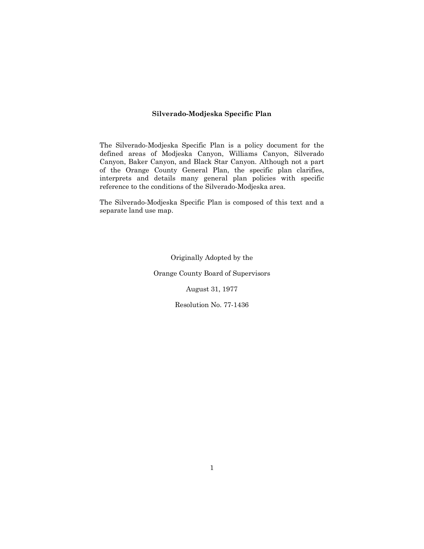# **Silverado-Modjeska Specific Plan**

The Silverado-Modjeska Specific Plan is a policy document for the defined areas of Modjeska Canyon, Williams Canyon, Silverado Canyon, Baker Canyon, and Black Star Canyon. Although not a part of the Orange County General Plan, the specific plan clarifies, interprets and details many general plan policies with specific reference to the conditions of the Silverado-Modjeska area.

The Silverado-Modjeska Specific Plan is composed of this text and a separate land use map.

Originally Adopted by the

Orange County Board of Supervisors

August 31, 1977

Resolution No. 77-1436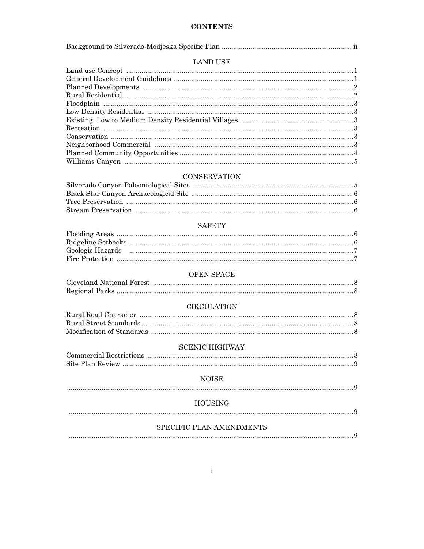# **CONTENTS**

# **LAND USE**

# **CONSERVATION**

# **SAFETY**

| Geologic Hazards (1990) (1990) (1990) (1991) (1991) (1991) (1991) (1991) (1991) (1991) (1991) (1991) (1991) (1 |  |
|----------------------------------------------------------------------------------------------------------------|--|
|                                                                                                                |  |

# OPEN SPACE

# **CIRCULATION**

### **SCENIC HIGHWAY**

### **NOISE**

# 

# HOUSING

# SPECIFIC PLAN AMENDMENTS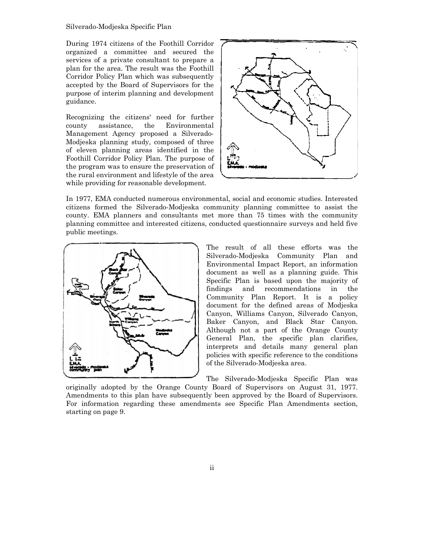During 1974 citizens of the Foothill Corridor organized a committee and secured the services of a private consultant to prepare a plan for the area. The result was the Foothill Corridor Policy Plan which was subsequently accepted by the Board of Supervisors for the purpose of interim planning and development guidance. During 1974 citizens of the Foothill Corridor<br>organized a committee and secured the<br>services of a private consultant to prepare a<br>plan for the area. The result was the Foothill<br>Corridor Policy Plan which was subsequently<br>a

Recognizing the citizens' need for further county assistance, the Environmental Management Agency proposed a Silverado Modjeska planning study, composed of three of eleven planning areas identified in the Foothill Corridor Policy Plan. The purpose of the program was to ensure the preservation of the rural environment and lifestyle of the area while providing for reasonable development. Modjeska planning study, composed of three<br>
Foothill Corridor Policy Plan. The purpose of<br>
the program was to ensure the preservation of<br>
the rural environment and lifestyle of the area<br>
while providing for reasonable deve



In 1977, EMA conducted numerous environmental, social and economic studies. Interested citizens formed the Silverado-Modjeska community planning committee to assist the county. EMA planners and consultants met more than 75 times with the community planning committee and interested citizens, conducted questionnaire surveys and held five<br>
public meetings.<br>
The result of all these efforts was the public meetings.



Silverado-Modjeska Community Plan and Environmental Impact Report, an information document as well as a planning guide. This Specific Plan is based upon the majority of findings and recommendations in Community Plan Report. It is a policy document for the defined areas of Modjeska Canyon, Williams Canyon, Silverado Canyon, Baker Canyon, and Black Star Canyon. Although not a part of the Orange County General Plan, the specific plan clarifies, interprets and details many general plan policies with specific reference to the conditions of the Silverado-Modjeska area. re than 75 times with the community<br>cted questionnaire surveys and held five<br>result of all these efforts was the<br>do-Modjeska Community Plan and<br>nmental Impact Report, an information the

The Silverado-Modjeska Specific Plan was

originally adopted by the Orange County Board of Supervisors on August 31, 1977. Amendments to this plan have subsequently been approved by the Board of Supervisors. The Silverado-Modjeska Specific Plan was<br>originally adopted by the Orange County Board of Supervisors on August 31, 1977.<br>Amendments to this plan have subsequently been approved by the Board of Supervisors.<br>For information starting on page 9.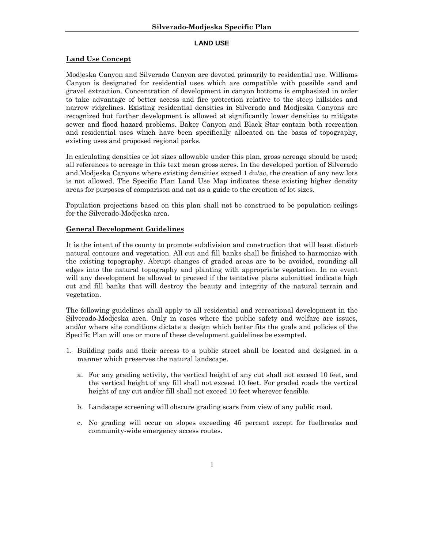#### **LAND USE**

# **Land Use Concept**

Modjeska Canyon and Silverado Canyon are devoted primarily to residential use. Williams Canyon is designated for residential uses which are compatible with possible sand and gravel extraction. Concentration of development in canyon bottoms is emphasized in order to take advantage of better access and fire protection relative to the steep hillsides and narrow ridgelines. Existing residential densities in Silverado and Modjeska Canyons are recognized but further development is allowed at significantly lower densities to mitigate sewer and flood hazard problems. Baker Canyon and Black Star contain both recreation and residential uses which have been specifically allocated on the basis of topography, existing uses and proposed regional parks.

In calculating densities or lot sizes allowable under this plan, gross acreage should be used; all references to acreage in this text mean gross acres. In the developed portion of Silverado and Modjeska Canyons where existing densities exceed 1 du/ac, the creation of any new lots is not allowed. The Specific Plan Land Use Map indicates these existing higher density areas for purposes of comparison and not as a guide to the creation of lot sizes.

Population projections based on this plan shall not be construed to be population ceilings for the Silverado-Modjeska area.

# **General Development Guidelines**

It is the intent of the county to promote subdivision and construction that will least disturb natural contours and vegetation. All cut and fill banks shall be finished to harmonize with the existing topography. Abrupt changes of graded areas are to be avoided, rounding all edges into the natural topography and planting with appropriate vegetation. In no event will any development be allowed to proceed if the tentative plans submitted indicate high cut and fill banks that will destroy the beauty and integrity of the natural terrain and vegetation.

The following guidelines shall apply to all residential and recreational development in the Silverado-Modjeska area. Only in cases where the public safety and welfare are issues, and/or where site conditions dictate a design which better fits the goals and policies of the Specific Plan will one or more of these development guidelines be exempted.

- 1. Building pads and their access to a public street shall be located and designed in a manner which preserves the natural landscape.
	- a. For any grading activity, the vertical height of any cut shall not exceed 10 feet, and the vertical height of any fill shall not exceed 10 feet. For graded roads the vertical height of any cut and/or fill shall not exceed 10 feet wherever feasible.
	- b. Landscape screening will obscure grading scars from view of any public road.
	- c. No grading will occur on slopes exceeding 45 percent except for fuelbreaks and community-wide emergency access routes.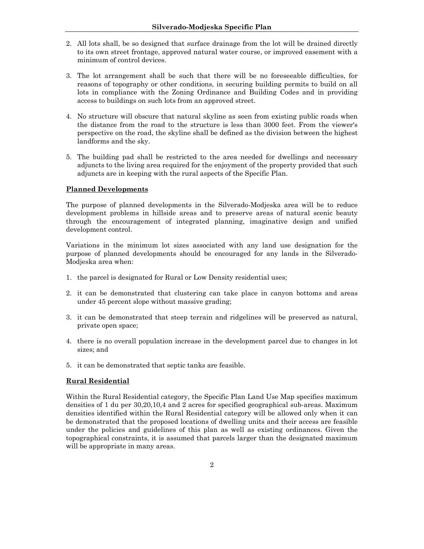- 2. All lots shall, be so designed that surface drainage from the lot will be drained directly to its own street frontage, approved natural water course, or improved easement with a minimum of control devices.
- 3. The lot arrangement shall be such that there will be no foreseeable difficulties, for reasons of topography or other conditions, in securing building permits to build on all lots in compliance with the Zoning Ordinance and Building Codes and in providing access to buildings on such lots from an approved street.
- 4. No structure will obscure that natural skyline as seen from existing public roads when the distance from the road to the structure is less than 3000 feet. From the viewer's perspective on the road, the skyline shall be defined as the division between the highest landforms and the sky.
- 5. The building pad shall be restricted to the area needed for dwellings and necessary adjuncts to the living area required for the enjoyment of the property provided that such adjuncts are in keeping with the rural aspects of the Specific Plan.

# **Planned Developments**

The purpose of planned developments in the Silverado-Modjeska area will be to reduce development problems in hillside areas and to preserve areas of natural scenic beauty through the encouragement of integrated planning, imaginative design and unified development control.

Variations in the minimum lot sizes associated with any land use designation for the purpose of planned developments should be encouraged for any lands in the Silverado-Modjeska area when:

- 1. the parcel is designated for Rural or Low Density residential uses;
- 2. it can be demonstrated that clustering can take place in canyon bottoms and areas under 45 percent slope without massive grading;
- 3. it can be demonstrated that steep terrain and ridgelines will be preserved as natural, private open space;
- 4. there is no overall population increase in the development parcel due to changes in lot sizes; and
- 5. it can be demonstrated that septic tanks are feasible.

# **Rural Residential**

Within the Rural Residential category, the Specific Plan Land Use Map specifies maximum densities of 1 du per 30,20,10,4 and 2 acres for specified geographical sub-areas. Maximum densities identified within the Rural Residential category will be allowed only when it can be demonstrated that the proposed locations of dwelling units and their access are feasible under the policies and guidelines of this plan as well as existing ordinances. Given the topographical constraints, it is assumed that parcels larger than the designated maximum will be appropriate in many areas.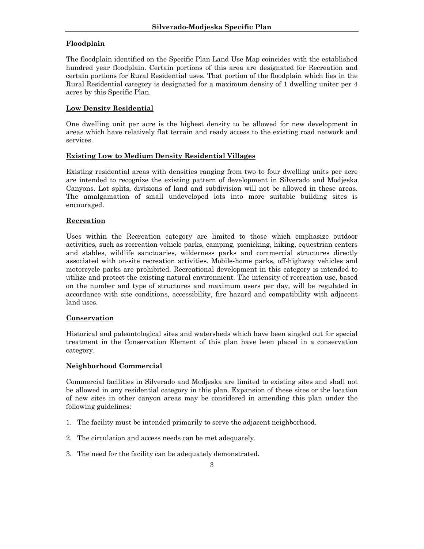# **Floodplain**

The floodplain identified on the Specific Plan Land Use Map coincides with the established hundred year floodplain. Certain portions of this area are designated for Recreation and certain portions for Rural Residential uses. That portion of the floodplain which lies in the Rural Residential category is designated for a maximum density of 1 dwelling uniter per 4 acres by this Specific Plan.

# **Low Density Residential**

One dwelling unit per acre is the highest density to be allowed for new development in areas which have relatively flat terrain and ready access to the existing road network and services.

# **Existing Low to Medium Density Residential Villages**

Existing residential areas with densities ranging from two to four dwelling units per acre are intended to recognize the existing pattern of development in Silverado and Modjeska Canyons. Lot splits, divisions of land and subdivision will not be allowed in these areas. The amalgamation of small undeveloped lots into more suitable building sites is encouraged.

# **Recreation**

Uses within the Recreation category are limited to those which emphasize outdoor activities, such as recreation vehicle parks, camping, picnicking, hiking, equestrian centers and stables, wildlife sanctuaries, wilderness parks and commercial structures directly associated with on-site recreation activities. Mobile-home parks, off-highway vehicles and motorcycle parks are prohibited. Recreational development in this category is intended to utilize and protect the existing natural environment. The intensity of recreation use, based on the number and type of structures and maximum users per day, will be regulated in accordance with site conditions, accessibility, fire hazard and compatibility with adjacent land uses.

# **Conservation**

Historical and paleontological sites and watersheds which have been singled out for special treatment in the Conservation Element of this plan have been placed in a conservation category.

# **Neighborhood Commercial**

Commercial facilities in Silverado and Modjeska are limited to existing sites and shall not be allowed in any residential category in this plan. Expansion of these sites or the location of new sites in other canyon areas may be considered in amending this plan under the following guidelines:

- 1. The facility must be intended primarily to serve the adjacent neighborhood.
- 2. The circulation and access needs can be met adequately.
- 3. The need for the facility can be adequately demonstrated.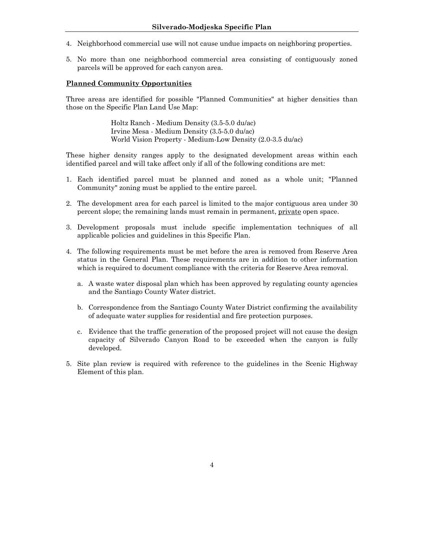- 4. Neighborhood commercial use will not cause undue impacts on neighboring properties.
- 5. No more than one neighborhood commercial area consisting of contiguously zoned parcels will be approved for each canyon area.

### **Planned Community Opportunities**

Three areas are identified for possible "Planned Communities" at higher densities than those on the Specific Plan Land Use Map:

> Holtz Ranch - Medium Density (3.5-5.0 du/ac) Irvine Mesa - Medium Density (3.5-5.0 du/ac) World Vision Property - Medium-Low Density (2.0-3.5 du/ac)

These higher density ranges apply to the designated development areas within each identified parcel and will take affect only if all of the following conditions are met:

- 1. Each identified parcel must be planned and zoned as a whole unit; "Planned Community" zoning must be applied to the entire parcel.
- 2. The development area for each parcel is limited to the major contiguous area under 30 percent slope; the remaining lands must remain in permanent, private open space.
- 3. Development proposals must include specific implementation techniques of all applicable policies and guidelines in this Specific Plan.
- 4. The following requirements must be met before the area is removed from Reserve Area status in the General Plan. These requirements are in addition to other information which is required to document compliance with the criteria for Reserve Area removal.
	- a. A waste water disposal plan which has been approved by regulating county agencies and the Santiago County Water district.
	- b. Correspondence from the Santiago County Water District confirming the availability of adequate water supplies for residential and fire protection purposes.
	- c. Evidence that the traffic generation of the proposed project will not cause the design capacity of Silverado Canyon Road to be exceeded when the canyon is fully developed.
- 5. Site plan review is required with reference to the guidelines in the Scenic Highway Element of this plan.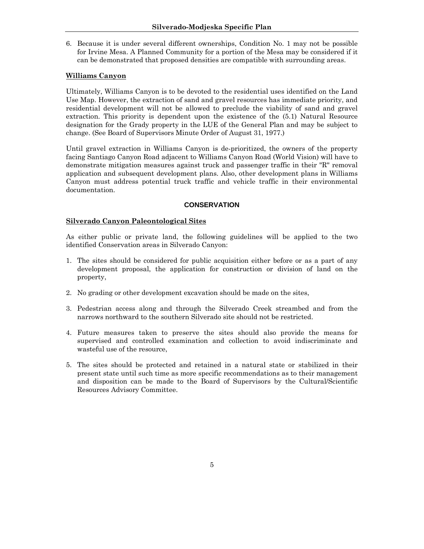6. Because it is under several different ownerships, Condition No. 1 may not be possible for Irvine Mesa. A Planned Community for a portion of the Mesa may be considered if it can be demonstrated that proposed densities are compatible with surrounding areas.

### **Williams Canyon**

Ultimately, Williams Canyon is to be devoted to the residential uses identified on the Land Use Map. However, the extraction of sand and gravel resources has immediate priority, and residential development will not be allowed to preclude the viability of sand and gravel extraction. This priority is dependent upon the existence of the (5.1) Natural Resource designation for the Grady property in the LUE of the General Plan and may be subject to change. (See Board of Supervisors Minute Order of August 31, 1977.)

Until gravel extraction in Williams Canyon is de-prioritized, the owners of the property facing Santiago Canyon Road adjacent to Williams Canyon Road (World Vision) will have to demonstrate mitigation measures against truck and passenger traffic in their "R" removal application and subsequent development plans. Also, other development plans in Williams Canyon must address potential truck traffic and vehicle traffic in their environmental documentation.

#### **CONSERVATION**

#### **Silverado Canyon Paleontological Sites**

As either public or private land, the following guidelines will be applied to the two identified Conservation areas in Silverado Canyon:

- 1. The sites should be considered for public acquisition either before or as a part of any development proposal, the application for construction or division of land on the property,
- 2. No grading or other development excavation should be made on the sites,
- 3. Pedestrian access along and through the Silverado Creek streambed and from the narrows northward to the southern Silverado site should not be restricted.
- 4. Future measures taken to preserve the sites should also provide the means for supervised and controlled examination and collection to avoid indiscriminate and wasteful use of the resource,
- 5. The sites should be protected and retained in a natural state or stabilized in their present state until such time as more specific recommendations as to their management and disposition can be made to the Board of Supervisors by the Cultural/Scientific Resources Advisory Committee.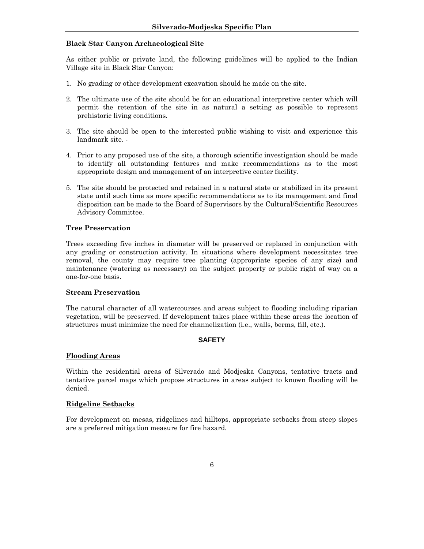# **Black Star Canyon Archaeological Site**

As either public or private land, the following guidelines will be applied to the Indian Village site in Black Star Canyon:

- 1. No grading or other development excavation should he made on the site.
- 2. The ultimate use of the site should be for an educational interpretive center which will permit the retention of the site in as natural a setting as possible to represent prehistoric living conditions.
- 3. The site should be open to the interested public wishing to visit and experience this landmark site. -
- 4. Prior to any proposed use of the site, a thorough scientific investigation should be made to identify all outstanding features and make recommendations as to the most appropriate design and management of an interpretive center facility.
- 5. The site should be protected and retained in a natural state or stabilized in its present state until such time as more specific recommendations as to its management and final disposition can be made to the Board of Supervisors by the Cultural/Scientific Resources Advisory Committee.

### **Tree Preservation**

Trees exceeding five inches in diameter will be preserved or replaced in conjunction with any grading or construction activity. In situations where development necessitates tree removal, the county may require tree planting (appropriate species of any size) and maintenance (watering as necessary) on the subject property or public right of way on a one-for-one basis.

#### **Stream Preservation**

The natural character of all watercourses and areas subject to flooding including riparian vegetation, will be preserved. If development takes place within these areas the location of structures must minimize the need for channelization (i.e., walls, berms, fill, etc.).

#### **SAFETY**

#### **Flooding Areas**

Within the residential areas of Silverado and Modjeska Canyons, tentative tracts and tentative parcel maps which propose structures in areas subject to known flooding will be denied.

#### **Ridgeline Setbacks**

For development on mesas, ridgelines and hilltops, appropriate setbacks from steep slopes are a preferred mitigation measure for fire hazard.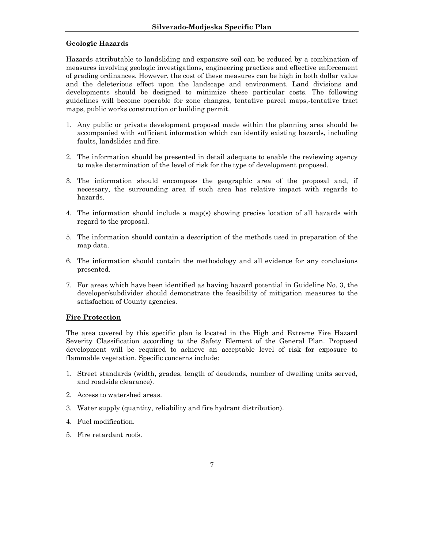# **Geologic Hazards**

Hazards attributable to landsliding and expansive soil can be reduced by a combination of measures involving geologic investigations, engineering practices and effective enforcement of grading ordinances. However, the cost of these measures can be high in both dollar value and the deleterious effect upon the landscape and environment. Land divisions and developments should be designed to minimize these particular costs. The following guidelines will become operable for zone changes, tentative parcel maps,-tentative tract maps, public works construction or building permit.

- 1. Any public or private development proposal made within the planning area should be accompanied with sufficient information which can identify existing hazards, including faults, landslides and fire.
- 2. The information should be presented in detail adequate to enable the reviewing agency to make determination of the level of risk for the type of development proposed.
- 3. The information should encompass the geographic area of the proposal and, if necessary, the surrounding area if such area has relative impact with regards to hazards.
- 4. The information should include a map(s) showing precise location of all hazards with regard to the proposal.
- 5. The information should contain a description of the methods used in preparation of the map data.
- 6. The information should contain the methodology and all evidence for any conclusions presented.
- 7. For areas which have been identified as having hazard potential in Guideline No. 3, the developer/subdivider should demonstrate the feasibility of mitigation measures to the satisfaction of County agencies.

# **Fire Protection**

The area covered by this specific plan is located in the High and Extreme Fire Hazard Severity Classification according to the Safety Element of the General Plan. Proposed development will be required to achieve an acceptable level of risk for exposure to flammable vegetation. Specific concerns include:

- 1. Street standards (width, grades, length of deadends, number of dwelling units served, and roadside clearance).
- 2. Access to watershed areas.
- 3. Water supply (quantity, reliability and fire hydrant distribution).
- 4. Fuel modification.
- 5. Fire retardant roofs.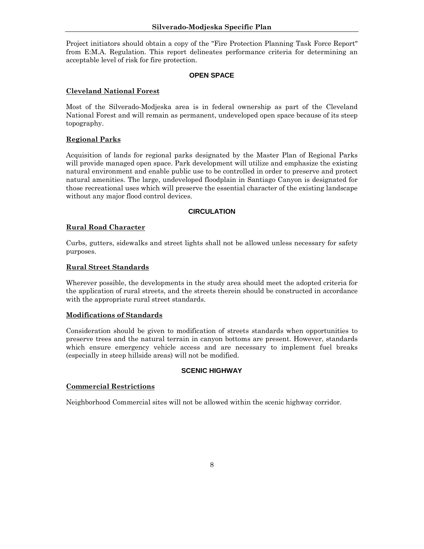Project initiators should obtain a copy of the "Fire Protection Planning Task Force Report" from E:M.A. Regulation. This report delineates performance criteria for determining an acceptable level of risk for fire protection.

#### **OPEN SPACE**

### **Cleveland National Forest**

Most of the Silverado-Modjeska area is in federal ownership as part of the Cleveland National Forest and will remain as permanent, undeveloped open space because of its steep topography.

# **Regional Parks**

Acquisition of lands for regional parks designated by the Master Plan of Regional Parks will provide managed open space. Park development will utilize and emphasize the existing natural environment and enable public use to be controlled in order to preserve and protect natural amenities. The large, undeveloped floodplain in Santiago Canyon is designated for those recreational uses which will preserve the essential character of the existing landscape without any major flood control devices.

### **CIRCULATION**

### **Rural Road Character**

Curbs, gutters, sidewalks and street lights shall not be allowed unless necessary for safety purposes.

### **Rural Street Standards**

Wherever possible, the developments in the study area should meet the adopted criteria for the application of rural streets, and the streets therein should be constructed in accordance with the appropriate rural street standards.

#### **Modifications of Standards**

Consideration should be given to modification of streets standards when opportunities to preserve trees and the natural terrain in canyon bottoms are present. However, standards which ensure emergency vehicle access and are necessary to implement fuel breaks (especially in steep hillside areas) will not be modified.

#### **SCENIC HIGHWAY**

#### **Commercial Restrictions**

Neighborhood Commercial sites will not be allowed within the scenic highway corridor.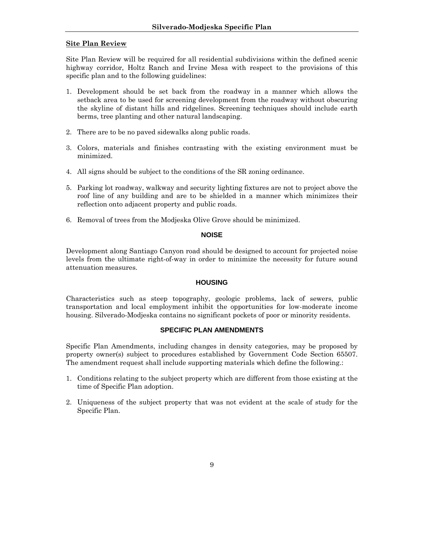# **Site Plan Review**

Site Plan Review will be required for all residential subdivisions within the defined scenic highway corridor, Holtz Ranch and Irvine Mesa with respect to the provisions of this specific plan and to the following guidelines:

- 1. Development should be set back from the roadway in a manner which allows the setback area to be used for screening development from the roadway without obscuring the skyline of distant hills and ridgelines. Screening techniques should include earth berms, tree planting and other natural landscaping.
- 2. There are to be no paved sidewalks along public roads.
- 3. Colors, materials and finishes contrasting with the existing environment must be minimized.
- 4. All signs should be subject to the conditions of the SR zoning ordinance.
- 5. Parking lot roadway, walkway and security lighting fixtures are not to project above the roof line of any building and are to be shielded in a manner which minimizes their reflection onto adjacent property and public roads.
- 6. Removal of trees from the Modjeska Olive Grove should be minimized.

#### **NOISE**

Development along Santiago Canyon road should be designed to account for projected noise levels from the ultimate right-of-way in order to minimize the necessity for future sound attenuation measures.

#### **HOUSING**

Characteristics such as steep topography, geologic problems, lack of sewers, public transportation and local employment inhibit the opportunities for low-moderate income housing. Silverado-Modjeska contains no significant pockets of poor or minority residents.

# **SPECIFIC PLAN AMENDMENTS**

Specific Plan Amendments, including changes in density categories, may be proposed by property owner(s) subject to procedures established by Government Code Section 65507. The amendment request shall include supporting materials which define the following.:

- 1. Conditions relating to the subject property which are different from those existing at the time of Specific Plan adoption.
- 2. Uniqueness of the subject property that was not evident at the scale of study for the Specific Plan.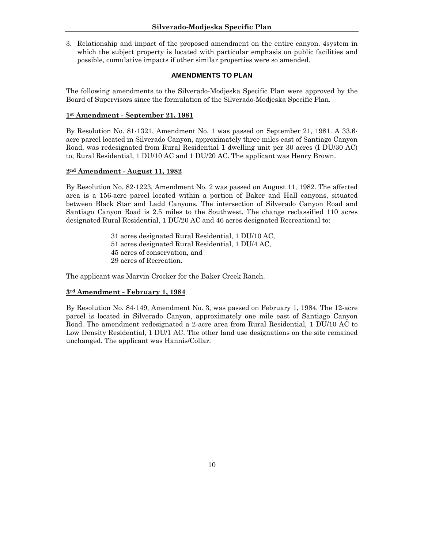3. Relationship and impact of the proposed amendment on the entire canyon. 4system in which the subject property is located with particular emphasis on public facilities and possible, cumulative impacts if other similar properties were so amended.

### **AMENDMENTS TO PLAN**

The following amendments to the Silverado-Modjeska Specific Plan were approved by the Board of Supervisors since the formulation of the Silverado-Modjeska Specific Plan.

### **1st Amendment - September 21, 1981**

By Resolution No. 81-1321, Amendment No. 1 was passed on September 21, 1981. A 33.6 acre parcel located in Silverado Canyon, approximately three miles east of Santiago Canyon Road, was redesignated from Rural Residential 1 dwelling unit per 30 acres (I DU/30 AC) to, Rural Residential, 1 DU/10 AC and 1 DU/20 AC. The applicant was Henry Brown.

### **2nd Amendment - August 11, 1982**

By Resolution No. 82-1223, Amendment No. 2 was passed on August 11, 1982. The affected area is a 156-acre parcel located within a portion of Baker and Hall canyons, situated between Black Star and Ladd Canyons. The intersection of Silverado Canyon Road and Santiago Canyon Road is 2.5 miles to the Southwest. The change reclassified 110 acres designated Rural Residential, 1 DU/20 AC and 46 acres designated Recreational to:

> 31 acres designated Rural Residential, 1 DU/10 AC, 51 acres designated Rural Residential, 1 DU/4 AC, 45 acres of conservation, and 29 acres of Recreation.

The applicant was Marvin Crocker for the Baker Creek Ranch.

# **3rd Amendment - February 1, 1984**

By Resolution No. 84-149, Amendment No. 3, was passed on February 1, 1984. The 12-acre parcel is located in Silverado Canyon, approximately one mile east of Santiago Canyon Road. The amendment redesignated a 2-acre area from Rural Residential, 1 DU/10 AC to Low Density Residential, 1 DU/1 AC. The other land use designations on the site remained unchanged. The applicant was Hannis/Collar.